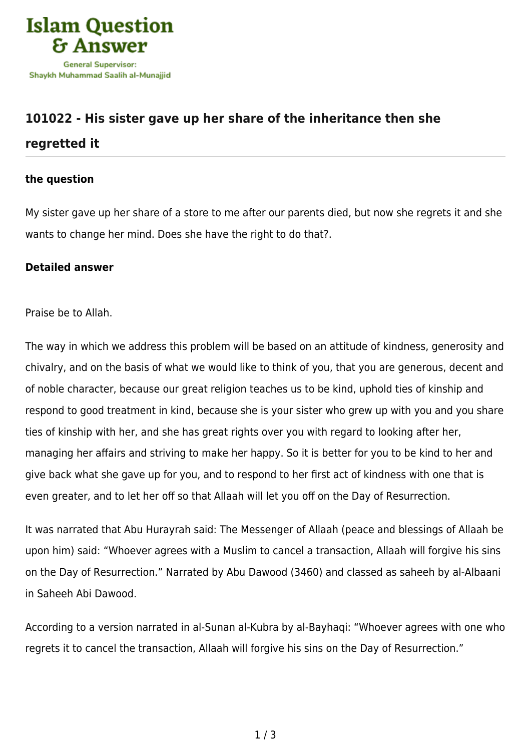

## **[101022 - His sister gave up her share of the inheritance then she](https://islamqa.info/en/answers/101022/his-sister-gave-up-her-share-of-the-inheritance-then-she-regretted-it)**

## **[regretted it](https://islamqa.info/en/answers/101022/his-sister-gave-up-her-share-of-the-inheritance-then-she-regretted-it)**

## **the question**

My sister gave up her share of a store to me after our parents died, but now she regrets it and she wants to change her mind. Does she have the right to do that?.

## **Detailed answer**

Praise be to Allah.

The way in which we address this problem will be based on an attitude of kindness, generosity and chivalry, and on the basis of what we would like to think of you, that you are generous, decent and of noble character, because our great religion teaches us to be kind, uphold ties of kinship and respond to good treatment in kind, because she is your sister who grew up with you and you share ties of kinship with her, and she has great rights over you with regard to looking after her, managing her affairs and striving to make her happy. So it is better for you to be kind to her and give back what she gave up for you, and to respond to her first act of kindness with one that is even greater, and to let her off so that Allaah will let you off on the Day of Resurrection.

It was narrated that Abu Hurayrah said: The Messenger of Allaah (peace and blessings of Allaah be upon him) said: "Whoever agrees with a Muslim to cancel a transaction, Allaah will forgive his sins on the Day of Resurrection." Narrated by Abu Dawood (3460) and classed as saheeh by al-Albaani in Saheeh Abi Dawood.

According to a version narrated in al-Sunan al-Kubra by al-Bayhaqi: "Whoever agrees with one who regrets it to cancel the transaction, Allaah will forgive his sins on the Day of Resurrection."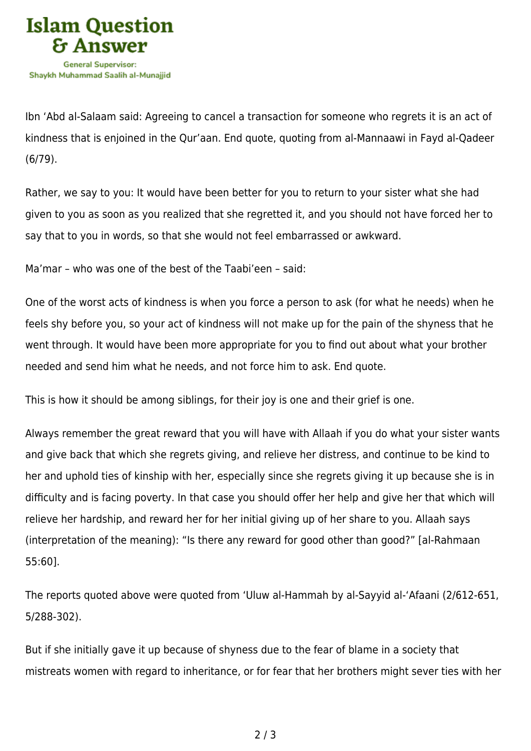

Ibn 'Abd al-Salaam said: Agreeing to cancel a transaction for someone who regrets it is an act of kindness that is enjoined in the Qur'aan. End quote, quoting from al-Mannaawi in Fayd al-Qadeer (6/79).

Rather, we say to you: It would have been better for you to return to your sister what she had given to you as soon as you realized that she regretted it, and you should not have forced her to say that to you in words, so that she would not feel embarrassed or awkward.

Ma'mar – who was one of the best of the Taabi'een – said:

One of the worst acts of kindness is when you force a person to ask (for what he needs) when he feels shy before you, so your act of kindness will not make up for the pain of the shyness that he went through. It would have been more appropriate for you to find out about what your brother needed and send him what he needs, and not force him to ask. End quote.

This is how it should be among siblings, for their joy is one and their grief is one.

Always remember the great reward that you will have with Allaah if you do what your sister wants and give back that which she regrets giving, and relieve her distress, and continue to be kind to her and uphold ties of kinship with her, especially since she regrets giving it up because she is in difficulty and is facing poverty. In that case you should offer her help and give her that which will relieve her hardship, and reward her for her initial giving up of her share to you. Allaah says (interpretation of the meaning): "Is there any reward for good other than good?" [al-Rahmaan 55:60].

The reports quoted above were quoted from 'Uluw al-Hammah by al-Sayyid al-'Afaani (2/612-651, 5/288-302).

But if she initially gave it up because of shyness due to the fear of blame in a society that mistreats women with regard to inheritance, or for fear that her brothers might sever ties with her